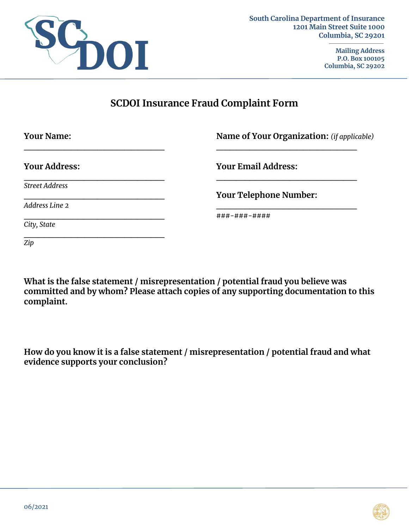

**Mailing Address P.O. Box 100105 Columbia, SC 29202**

# **SCDOI Insurance Fraud Complaint Form**

| <b>Your Name:</b>     | Name of Your Organization: (if applicable) |
|-----------------------|--------------------------------------------|
| <b>Your Address:</b>  | <b>Your Email Address:</b>                 |
| <b>Street Address</b> | <b>Your Telephone Number:</b>              |
| Address Line 2        |                                            |
|                       | ###-###-####                               |
| City, State           |                                            |
| $\overline{Zip}$      |                                            |

**What is the false statement / misrepresentation / potential fraud you believe was committed and by whom? Please attach copies of any supporting documentation to this complaint.** 

**How do you know it is a false statement / misrepresentation / potential fraud and what evidence supports your conclusion?**